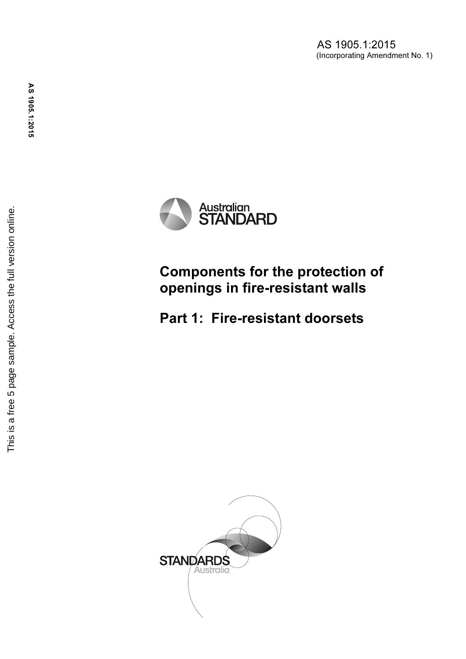AS 1905.1:2015 (Incorporating Amendment No. 1)



Components for the protection of openings in fire-resistant walls

Part 1: Fire-resistant doorsets

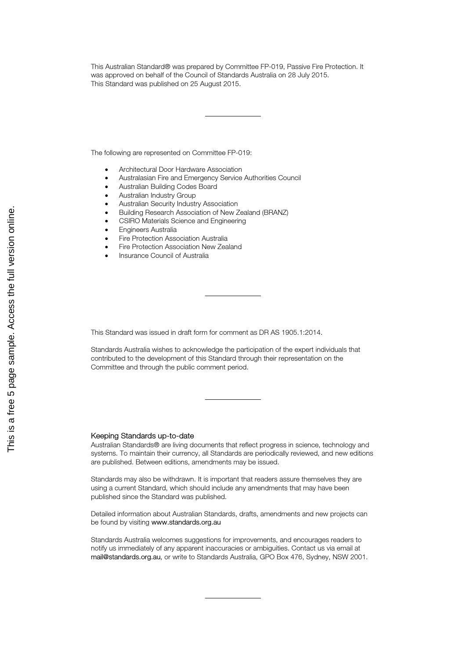This Australian Standard® was prepared by Committee FP-019, Passive Fire Protection. It was approved on behalf of the Council of Standards Australia on 28 July 2015. This Standard was published on 25 August 2015.

The following are represented on Committee FP-019:

- Architectural Door Hardware Association
- Australasian Fire and Emergency Service Authorities Council
- Australian Building Codes Board
- Australian Industry Group
- Australian Security Industry Association
- Building Research Association of New Zealand (BRANZ)
- CSIRO Materials Science and Engineering
- Engineers Australia
- Fire Protection Association Australia
- Fire Protection Association New Zealand
- Insurance Council of Australia

This Standard was issued in draft form for comment as DR AS 1905.1:2014.

Standards Australia wishes to acknowledge the participation of the expert individuals that contributed to the development of this Standard through their representation on the Committee and through the public comment period.

#### Keeping Standards up-to-date

Australian Standards® are living documents that reflect progress in science, technology and systems. To maintain their currency, all Standards are periodically reviewed, and new editions are published. Between editions, amendments may be issued.

Standards may also be withdrawn. It is important that readers assure themselves they are using a current Standard, which should include any amendments that may have been published since the Standard was published.

Detailed information about Australian Standards, drafts, amendments and new projects can be found by visiting www.standards.org.au

Standards Australia welcomes suggestions for improvements, and encourages readers to notify us immediately of any apparent inaccuracies or ambiguities. Contact us via email at mail@standards.org.au, or write to Standards Australia, GPO Box 476, Sydney, NSW 2001.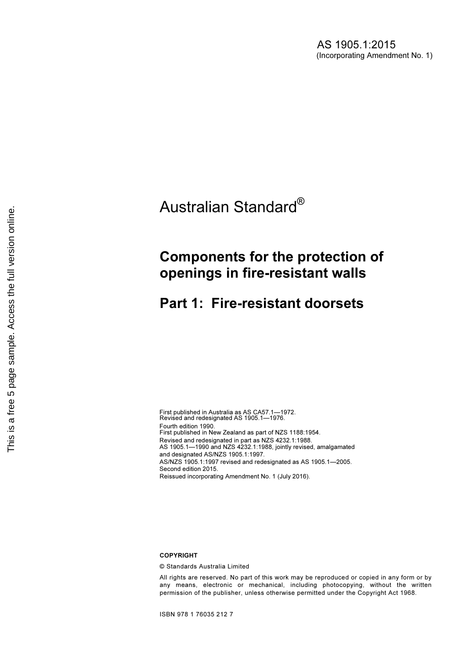# Australian Standard®

## Components for the protection of openings in fire-resistant walls

### Part 1: Fire-resistant doorsets

First published in Australia as AS CA57.1—1972. Revised and redesignated AS 1905.1—1976. Fourth edition 1990. First published in New Zealand as part of NZS 1188:1954. Revised and redesignated in part as NZS 4232.1:1988. AS 1905.1—1990 and NZS 4232.1:1988, jointly revised, amalgamated and designated AS/NZS 1905.1:1997. AS/NZS 1905.1:1997 revised and redesignated as AS 1905.1—2005. Second edition 2015. Reissued incorporating Amendment No. 1 (July 2016).

#### COPYRIGHT

© Standards Australia Limited

All rights are reserved. No part of this work may be reproduced or copied in any form or by any means, electronic or mechanical, including photocopying, without the written permission of the publisher, unless otherwise permitted under the Copyright Act 1968.

ISBN 978 1 76035 212 7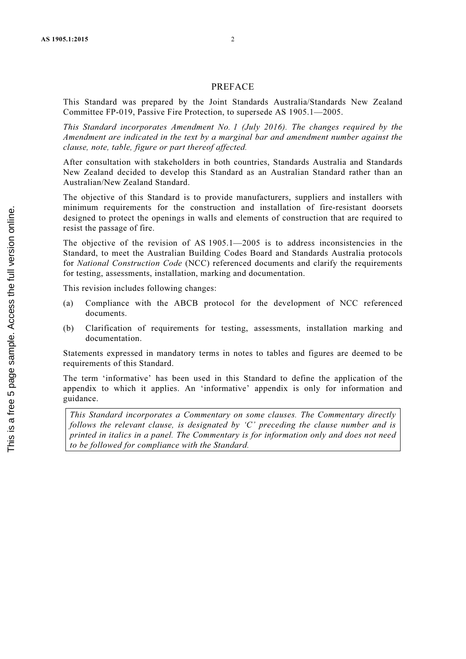#### PREFACE

This Standard was prepared by the Joint Standards Australia/Standards New Zealand Committee FP-019, Passive Fire Protection, to supersede AS 1905.1—2005.

This Standard incorporates Amendment No. 1 (July 2016). The changes required by the Amendment are indicated in the text by a marginal bar and amendment number against the clause, note, table, figure or part thereof affected.

After consultation with stakeholders in both countries, Standards Australia and Standards New Zealand decided to develop this Standard as an Australian Standard rather than an Australian/New Zealand Standard.

The objective of this Standard is to provide manufacturers, suppliers and installers with minimum requirements for the construction and installation of fire-resistant doorsets designed to protect the openings in walls and elements of construction that are required to resist the passage of fire.

The objective of the revision of AS 1905.1—2005 is to address inconsistencies in the Standard, to meet the Australian Building Codes Board and Standards Australia protocols for National Construction Code (NCC) referenced documents and clarify the requirements for testing, assessments, installation, marking and documentation.

This revision includes following changes:

- (a) Compliance with the ABCB protocol for the development of NCC referenced documents.
- (b) Clarification of requirements for testing, assessments, installation marking and documentation.

Statements expressed in mandatory terms in notes to tables and figures are deemed to be requirements of this Standard.

The term 'informative' has been used in this Standard to define the application of the appendix to which it applies. An 'informative' appendix is only for information and guidance.

This Standard incorporates a Commentary on some clauses. The Commentary directly follows the relevant clause, is designated by  $C'$  preceding the clause number and is printed in italics in a panel. The Commentary is for information only and does not need to be followed for compliance with the Standard.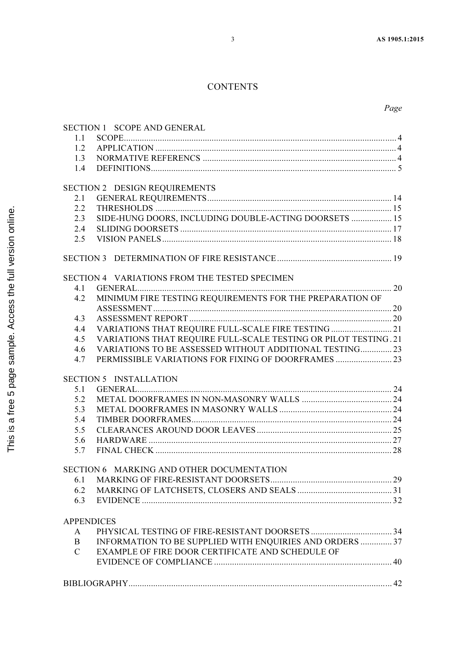### **CONTENTS**

|                   | SECTION 1 SCOPE AND GENERAL                                     |  |
|-------------------|-----------------------------------------------------------------|--|
| 1.1               |                                                                 |  |
| 1.2               |                                                                 |  |
| 1.3               |                                                                 |  |
| 1.4               |                                                                 |  |
|                   |                                                                 |  |
|                   | SECTION 2 DESIGN REQUIREMENTS                                   |  |
| 2.1               |                                                                 |  |
| 2.2               |                                                                 |  |
| 2.3               | SIDE-HUNG DOORS, INCLUDING DOUBLE-ACTING DOORSETS  15           |  |
| 2.4               |                                                                 |  |
| 2.5               |                                                                 |  |
|                   |                                                                 |  |
|                   |                                                                 |  |
|                   |                                                                 |  |
|                   | SECTION 4 VARIATIONS FROM THE TESTED SPECIMEN                   |  |
| 4.1               |                                                                 |  |
| 4.2               | MINIMUM FIRE TESTING REQUIREMENTS FOR THE PREPARATION OF        |  |
|                   |                                                                 |  |
| 4.3               |                                                                 |  |
| 4.4               | VARIATIONS THAT REQUIRE FULL-SCALE FIRE TESTING  21             |  |
| 4.5               | VARIATIONS THAT REQUIRE FULL-SCALE TESTING OR PILOT TESTING. 21 |  |
| 4.6               | VARIATIONS TO BE ASSESSED WITHOUT ADDITIONAL TESTING 23         |  |
| 4.7               |                                                                 |  |
|                   |                                                                 |  |
|                   | <b>SECTION 5 INSTALLATION</b>                                   |  |
| 5.1               |                                                                 |  |
| 5.2               |                                                                 |  |
| 5.3               |                                                                 |  |
| 5.4               |                                                                 |  |
| 5.5               |                                                                 |  |
| 5.6               |                                                                 |  |
| 5.7               |                                                                 |  |
|                   |                                                                 |  |
|                   | SECTION 6 MARKING AND OTHER DOCUMENTATION                       |  |
| 6.1               |                                                                 |  |
| 6.2               |                                                                 |  |
| 6.3               |                                                                 |  |
|                   |                                                                 |  |
| <b>APPENDICES</b> |                                                                 |  |
| A                 |                                                                 |  |
| B                 | INFORMATION TO BE SUPPLIED WITH ENQUIRIES AND ORDERS  37        |  |
| $\mathcal{C}$     | EXAMPLE OF FIRE DOOR CERTIFICATE AND SCHEDULE OF                |  |
|                   |                                                                 |  |
|                   |                                                                 |  |
|                   |                                                                 |  |
|                   |                                                                 |  |